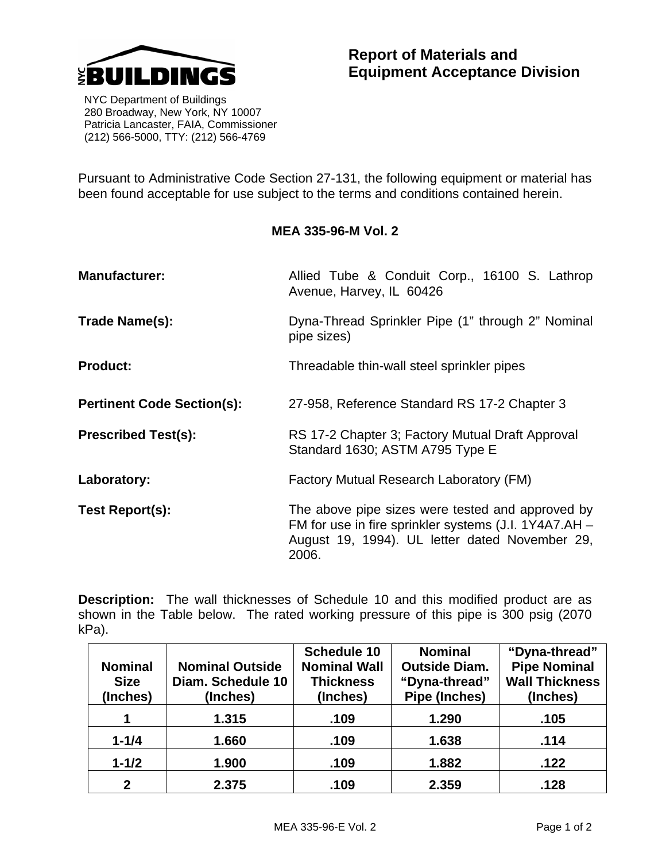

 NYC Department of Buildings 280 Broadway, New York, NY 10007 Patricia Lancaster, FAIA, Commissioner (212) 566-5000, TTY: (212) 566-4769

Pursuant to Administrative Code Section 27-131, the following equipment or material has been found acceptable for use subject to the terms and conditions contained herein.

## **MEA 335-96-M Vol. 2**

| <b>Manufacturer:</b>              | Allied Tube & Conduit Corp., 16100 S. Lathrop<br>Avenue, Harvey, IL 60426                                                                                            |  |  |
|-----------------------------------|----------------------------------------------------------------------------------------------------------------------------------------------------------------------|--|--|
| Trade Name(s):                    | Dyna-Thread Sprinkler Pipe (1" through 2" Nominal<br>pipe sizes)                                                                                                     |  |  |
| <b>Product:</b>                   | Threadable thin-wall steel sprinkler pipes                                                                                                                           |  |  |
| <b>Pertinent Code Section(s):</b> | 27-958, Reference Standard RS 17-2 Chapter 3                                                                                                                         |  |  |
| <b>Prescribed Test(s):</b>        | RS 17-2 Chapter 3; Factory Mutual Draft Approval<br>Standard 1630; ASTM A795 Type E                                                                                  |  |  |
| Laboratory:                       | Factory Mutual Research Laboratory (FM)                                                                                                                              |  |  |
| Test Report(s):                   | The above pipe sizes were tested and approved by<br>FM for use in fire sprinkler systems (J.I. 1Y4A7.AH -<br>August 19, 1994). UL letter dated November 29,<br>2006. |  |  |

**Description:** The wall thicknesses of Schedule 10 and this modified product are as shown in the Table below. The rated working pressure of this pipe is 300 psig (2070 kPa).

|                |                        | Schedule 10         | <b>Nominal</b>       | "Dyna-thread"         |
|----------------|------------------------|---------------------|----------------------|-----------------------|
| <b>Nominal</b> | <b>Nominal Outside</b> | <b>Nominal Wall</b> | <b>Outside Diam.</b> | <b>Pipe Nominal</b>   |
| <b>Size</b>    | Diam. Schedule 10      | <b>Thickness</b>    | "Dyna-thread"        | <b>Wall Thickness</b> |
| (Inches)       | (Inches)               | (Inches)            | Pipe (Inches)        | (Inches)              |
|                | 1.315                  | .109                | 1.290                | .105                  |
| $1 - 1/4$      | 1.660                  | .109                | 1.638                | .114                  |
| $1 - 1/2$      | 1.900                  | .109                | 1.882                | .122                  |
| $\mathbf{2}$   | 2.375                  | .109                | 2.359                | .128                  |